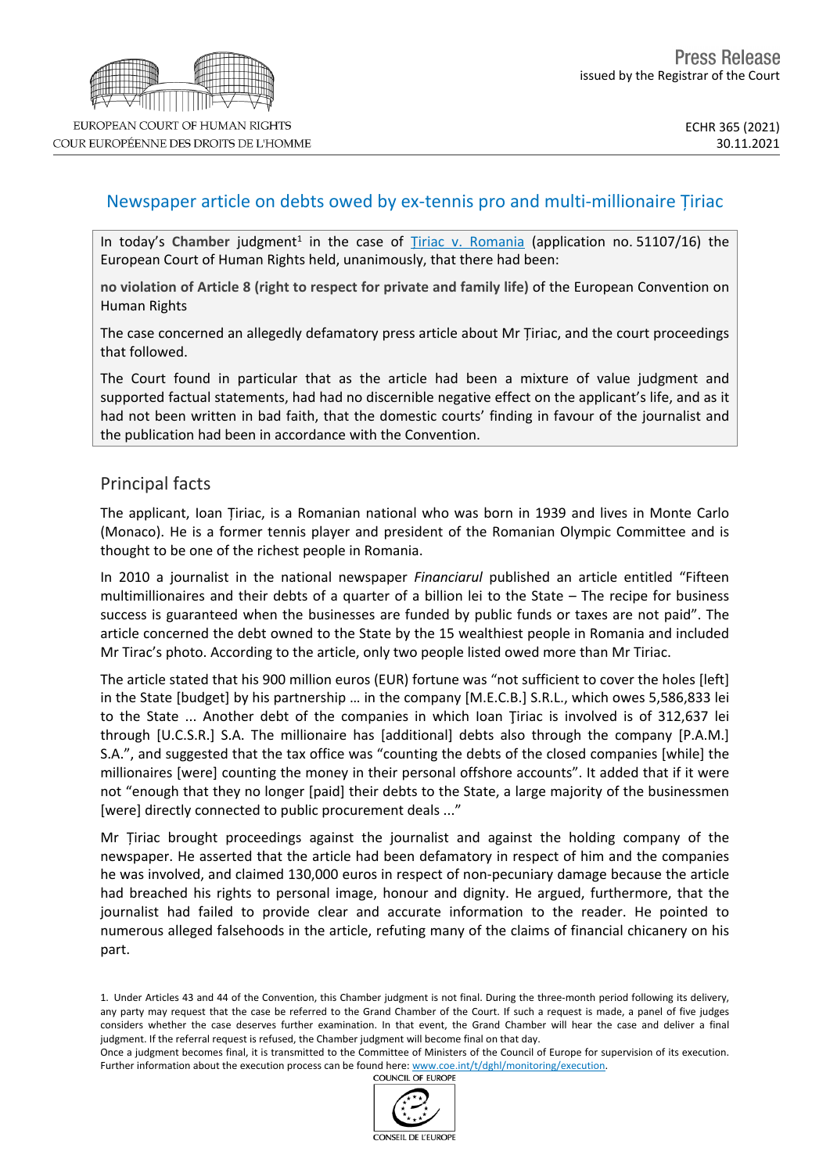

COUR EUROPÉENNE DES DROITS DE L'HOMME

## Newspaper article on debts owed by ex-tennis pro and multi-millionaire Țiriac

In today's Chamber judgment<sup>1</sup> in the case of *Tiriac v. [Romania](https://hudoc.echr.coe.int/eng?i=001-213711)* (application no. 51107/16) the European Court of Human Rights held, unanimously, that there had been:

**no violation of Article 8 (right to respect for private and family life)** of the European Convention on Human Rights

The case concerned an allegedly defamatory press article about Mr Țiriac, and the court proceedings that followed.

The Court found in particular that as the article had been a mixture of value judgment and supported factual statements, had had no discernible negative effect on the applicant's life, and as it had not been written in bad faith, that the domestic courts' finding in favour of the journalist and the publication had been in accordance with the Convention.

## Principal facts

The applicant, Ioan Țiriac, is a Romanian national who was born in 1939 and lives in Monte Carlo (Monaco). He is a former tennis player and president of the Romanian Olympic Committee and is thought to be one of the richest people in Romania.

In 2010 a journalist in the national newspaper *Financiarul* published an article entitled "Fifteen multimillionaires and their debts of a quarter of a billion lei to the State – The recipe for business success is guaranteed when the businesses are funded by public funds or taxes are not paid". The article concerned the debt owned to the State by the 15 wealthiest people in Romania and included Mr Tirac's photo. According to the article, only two people listed owed more than Mr Tiriac.

The article stated that his 900 million euros (EUR) fortune was "not sufficient to cover the holes [left] in the State [budget] by his partnership … in the company [M.E.C.B.] S.R.L., which owes 5,586,833 lei to the State ... Another debt of the companies in which Ioan Tiriac is involved is of 312,637 lei through [U.C.S.R.] S.A. The millionaire has [additional] debts also through the company [P.A.M.] S.A.", and suggested that the tax office was "counting the debts of the closed companies [while] the millionaires [were] counting the money in their personal offshore accounts". It added that if it were not "enough that they no longer [paid] their debts to the State, a large majority of the businessmen [were] directly connected to public procurement deals ..."

Mr Țiriac brought proceedings against the journalist and against the holding company of the newspaper. He asserted that the article had been defamatory in respect of him and the companies he was involved, and claimed 130,000 euros in respect of non-pecuniary damage because the article had breached his rights to personal image, honour and dignity. He argued, furthermore, that the journalist had failed to provide clear and accurate information to the reader. He pointed to numerous alleged falsehoods in the article, refuting many of the claims of financial chicanery on his part.

Once a judgment becomes final, it is transmitted to the Committee of Ministers of the Council of Europe for supervision of its execution. Further information about the execution process can be found here: [www.coe.int/t/dghl/monitoring/execution](http://www.coe.int/t/dghl/monitoring/execution).<br>COUNCIL OF EUROPE



<sup>1.</sup> Under Articles 43 and 44 of the Convention, this Chamber judgment is not final. During the three-month period following its delivery, any party may request that the case be referred to the Grand Chamber of the Court. If such a request is made, a panel of five judges considers whether the case deserves further examination. In that event, the Grand Chamber will hear the case and deliver a final judgment. If the referral request is refused, the Chamber judgment will become final on that day.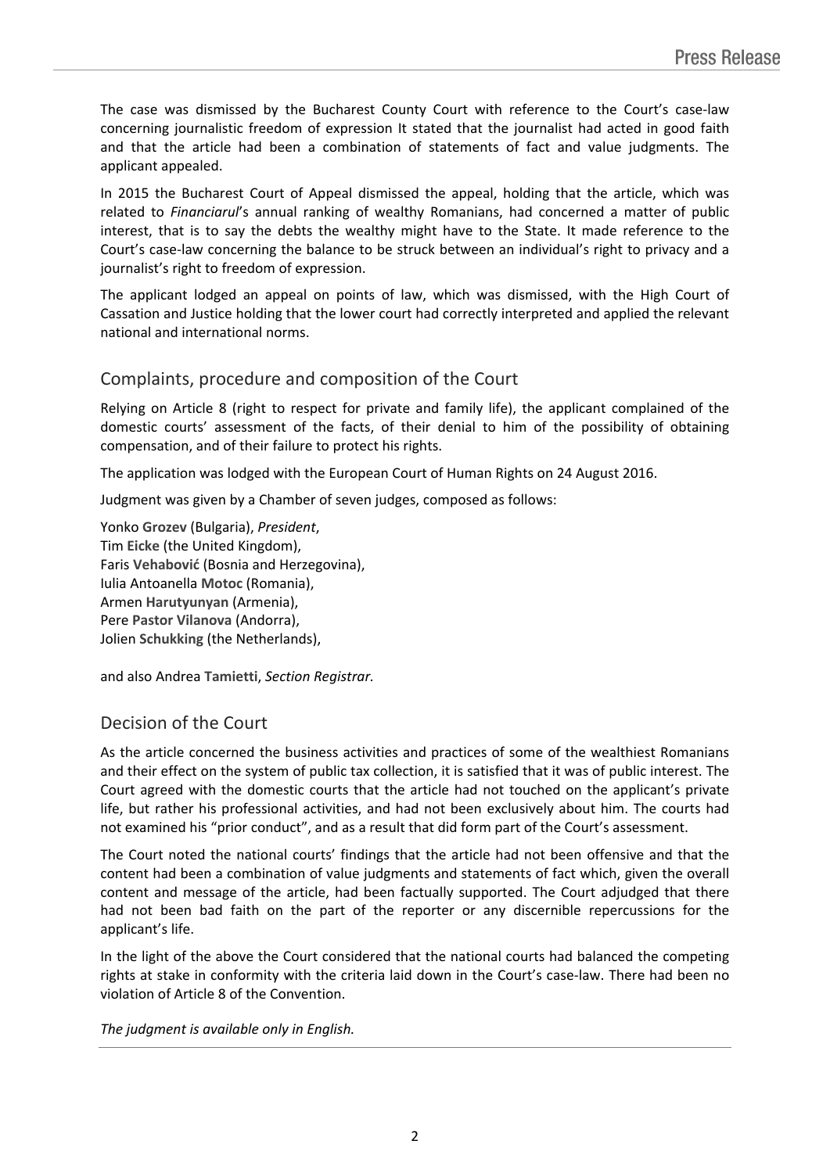The case was dismissed by the Bucharest County Court with reference to the Court's case-law concerning journalistic freedom of expression It stated that the journalist had acted in good faith and that the article had been a combination of statements of fact and value judgments. The applicant appealed.

In 2015 the Bucharest Court of Appeal dismissed the appeal, holding that the article, which was related to *Financiarul*'s annual ranking of wealthy Romanians, had concerned a matter of public interest, that is to say the debts the wealthy might have to the State. It made reference to the Court's case-law concerning the balance to be struck between an individual's right to privacy and a journalist's right to freedom of expression.

The applicant lodged an appeal on points of law, which was dismissed, with the High Court of Cassation and Justice holding that the lower court had correctly interpreted and applied the relevant national and international norms.

## Complaints, procedure and composition of the Court

Relying on Article 8 (right to respect for private and family life), the applicant complained of the domestic courts' assessment of the facts, of their denial to him of the possibility of obtaining compensation, and of their failure to protect his rights.

The application was lodged with the European Court of Human Rights on 24 August 2016.

Judgment was given by a Chamber of seven judges, composed as follows:

Yonko **Grozev** (Bulgaria), *President*, Tim **Eicke** (the United Kingdom), Faris **Vehabović** (Bosnia and Herzegovina), Iulia Antoanella **Motoc** (Romania), Armen **Harutyunyan** (Armenia), Pere **Pastor Vilanova** (Andorra), Jolien **Schukking** (the Netherlands),

and also Andrea **Tamietti**, *Section Registrar.*

## Decision of the Court

As the article concerned the business activities and practices of some of the wealthiest Romanians and their effect on the system of public tax collection, it is satisfied that it was of public interest. The Court agreed with the domestic courts that the article had not touched on the applicant's private life, but rather his professional activities, and had not been exclusively about him. The courts had not examined his "prior conduct", and as a result that did form part of the Court's assessment.

The Court noted the national courts' findings that the article had not been offensive and that the content had been a combination of value judgments and statements of fact which, given the overall content and message of the article, had been factually supported. The Court adjudged that there had not been bad faith on the part of the reporter or any discernible repercussions for the applicant's life.

In the light of the above the Court considered that the national courts had balanced the competing rights at stake in conformity with the criteria laid down in the Court's case-law. There had been no violation of Article 8 of the Convention.

*The judgment is available only in English.*